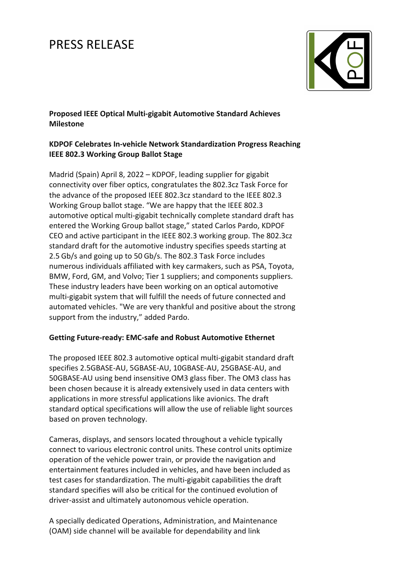# PRESS RELEASE



**Proposed IEEE Optical Multi-gigabit Automotive Standard Achieves Milestone** 

## **KDPOF Celebrates In-vehicle Network Standardization Progress Reaching IEEE 802.3 Working Group Ballot Stage**

Madrid (Spain) April 8, 2022 – KDPOF, leading supplier for gigabit connectivity over fiber optics, congratulates the 802.3cz Task Force for the advance of the proposed IEEE 802.3cz standard to the IEEE 802.3 Working Group ballot stage. "We are happy that the IEEE 802.3 automotive optical multi-gigabit technically complete standard draft has entered the Working Group ballot stage," stated Carlos Pardo, KDPOF CEO and active participant in the IEEE 802.3 working group. The 802.3cz standard draft for the automotive industry specifies speeds starting at 2.5 Gb/s and going up to 50 Gb/s. The 802.3 Task Force includes numerous individuals affiliated with key carmakers, such as PSA, Toyota, BMW, Ford, GM, and Volvo; Tier 1 suppliers; and components suppliers. These industry leaders have been working on an optical automotive multi-gigabit system that will fulfill the needs of future connected and automated vehicles. "We are very thankful and positive about the strong support from the industry," added Pardo.

### **Getting Future-ready: EMC-safe and Robust Automotive Ethernet**

The proposed IEEE 802.3 automotive optical multi-gigabit standard draft specifies 2.5GBASE-AU, 5GBASE-AU, 10GBASE-AU, 25GBASE-AU, and 50GBASE-AU using bend insensitive OM3 glass fiber. The OM3 class has been chosen because it is already extensively used in data centers with applications in more stressful applications like avionics. The draft standard optical specifications will allow the use of reliable light sources based on proven technology.

Cameras, displays, and sensors located throughout a vehicle typically connect to various electronic control units. These control units optimize operation of the vehicle power train, or provide the navigation and entertainment features included in vehicles, and have been included as test cases for standardization. The multi-gigabit capabilities the draft standard specifies will also be critical for the continued evolution of driver-assist and ultimately autonomous vehicle operation.

A specially dedicated Operations, Administration, and Maintenance (OAM) side channel will be available for dependability and link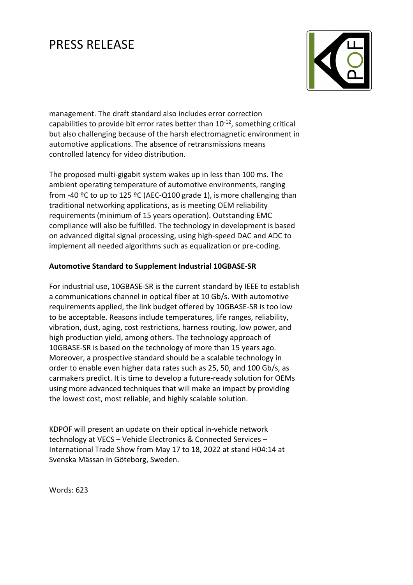# PRESS RELEASE



management. The draft standard also includes error correction capabilities to provide bit error rates better than  $10^{-12}$ , something critical but also challenging because of the harsh electromagnetic environment in automotive applications. The absence of retransmissions means controlled latency for video distribution.

The proposed multi-gigabit system wakes up in less than 100 ms. The ambient operating temperature of automotive environments, ranging from -40 ºC to up to 125 ºC (AEC-Q100 grade 1), is more challenging than traditional networking applications, as is meeting OEM reliability requirements (minimum of 15 years operation). Outstanding EMC compliance will also be fulfilled. The technology in development is based on advanced digital signal processing, using high-speed DAC and ADC to implement all needed algorithms such as equalization or pre-coding.

## **Automotive Standard to Supplement Industrial 10GBASE-SR**

For industrial use, 10GBASE-SR is the current standard by IEEE to establish a communications channel in optical fiber at 10 Gb/s. With automotive requirements applied, the link budget offered by 10GBASE-SR is too low to be acceptable. Reasons include temperatures, life ranges, reliability, vibration, dust, aging, cost restrictions, harness routing, low power, and high production yield, among others. The technology approach of 10GBASE-SR is based on the technology of more than 15 years ago. Moreover, a prospective standard should be a scalable technology in order to enable even higher data rates such as 25, 50, and 100 Gb/s, as carmakers predict. It is time to develop a future-ready solution for OEMs using more advanced techniques that will make an impact by providing the lowest cost, most reliable, and highly scalable solution.

KDPOF will present an update on their optical in-vehicle network technology at VECS – Vehicle Electronics & Connected Services – International Trade Show from May 17 to 18, 2022 at stand H04:14 at Svenska Mässan in Göteborg, Sweden.

Words: 623